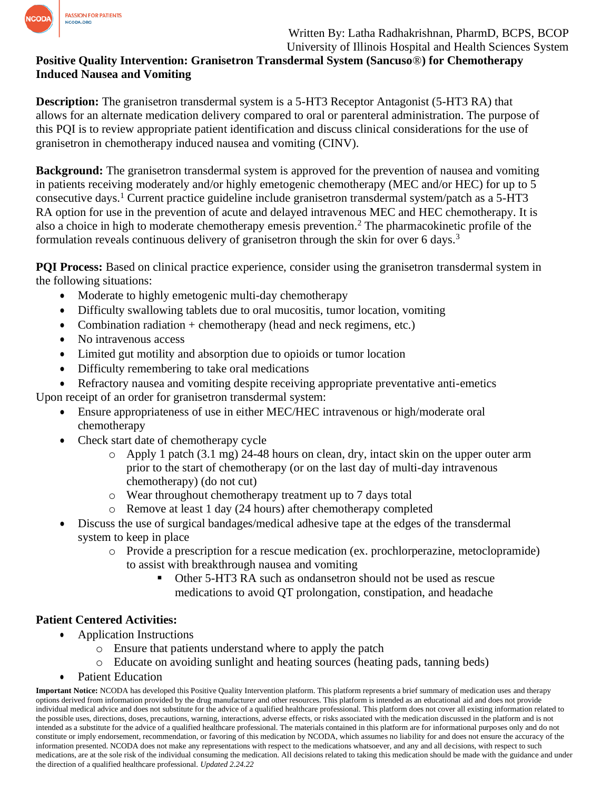

## Written By: Latha Radhakrishnan, PharmD, BCPS, BCOP University of Illinois Hospital and Health Sciences System

## **Positive Quality Intervention: Granisetron Transdermal System (Sancuso**®**) for Chemotherapy Induced Nausea and Vomiting**

**Description:** The granisetron transdermal system is a 5-HT3 Receptor Antagonist (5-HT3 RA) that allows for an alternate medication delivery compared to oral or parenteral administration. The purpose of this PQI is to review appropriate patient identification and discuss clinical considerations for the use of granisetron in chemotherapy induced nausea and vomiting (CINV).

**Background:** The granisetron transdermal system is approved for the prevention of nausea and vomiting in patients receiving moderately and/or highly emetogenic chemotherapy (MEC and/or HEC) for up to 5 consecutive days.<sup>1</sup> Current practice guideline include granisetron transdermal system/patch as a 5-HT3 RA option for use in the prevention of acute and delayed intravenous MEC and HEC chemotherapy. It is also a choice in high to moderate chemotherapy emesis prevention.<sup>2</sup> The pharmacokinetic profile of the formulation reveals continuous delivery of granisetron through the skin for over 6 days.<sup>3</sup>

**PQI Process:** Based on clinical practice experience, consider using the granisetron transdermal system in the following situations:

- Moderate to highly emetogenic multi-day chemotherapy
- Difficulty swallowing tablets due to oral mucositis, tumor location, vomiting
- Combination radiation  $+$  chemotherapy (head and neck regimens, etc.)
- No intravenous access
- Limited gut motility and absorption due to opioids or tumor location
- Difficulty remembering to take oral medications
- Refractory nausea and vomiting despite receiving appropriate preventative anti-emetics

Upon receipt of an order for granisetron transdermal system:

- Ensure appropriateness of use in either MEC/HEC intravenous or high/moderate oral chemotherapy
- Check start date of chemotherapy cycle
	- $\circ$  Apply 1 patch (3.1 mg) 24-48 hours on clean, dry, intact skin on the upper outer arm prior to the start of chemotherapy (or on the last day of multi-day intravenous chemotherapy) (do not cut)
	- o Wear throughout chemotherapy treatment up to 7 days total
	- o Remove at least 1 day (24 hours) after chemotherapy completed
- Discuss the use of surgical bandages/medical adhesive tape at the edges of the transdermal system to keep in place
	- o Provide a prescription for a rescue medication (ex. prochlorperazine, metoclopramide) to assist with breakthrough nausea and vomiting
		- Other 5-HT3 RA such as ondansetron should not be used as rescue medications to avoid QT prolongation, constipation, and headache

## **Patient Centered Activities:**

- Application Instructions
	- o Ensure that patients understand where to apply the patch
	- o Educate on avoiding sunlight and heating sources (heating pads, tanning beds)
- Patient Education

**Important Notice:** NCODA has developed this Positive Quality Intervention platform. This platform represents a brief summary of medication uses and therapy options derived from information provided by the drug manufacturer and other resources. This platform is intended as an educational aid and does not provide individual medical advice and does not substitute for the advice of a qualified healthcare professional. This platform does not cover all existing information related to the possible uses, directions, doses, precautions, warning, interactions, adverse effects, or risks associated with the medication discussed in the platform and is not intended as a substitute for the advice of a qualified healthcare professional. The materials contained in this platform are for informational purposes only and do not constitute or imply endorsement, recommendation, or favoring of this medication by NCODA, which assumes no liability for and does not ensure the accuracy of the information presented. NCODA does not make any representations with respect to the medications whatsoever, and any and all decisions, with respect to such medications, are at the sole risk of the individual consuming the medication. All decisions related to taking this medication should be made with the guidance and under the direction of a qualified healthcare professional. *Updated 2.24.22*